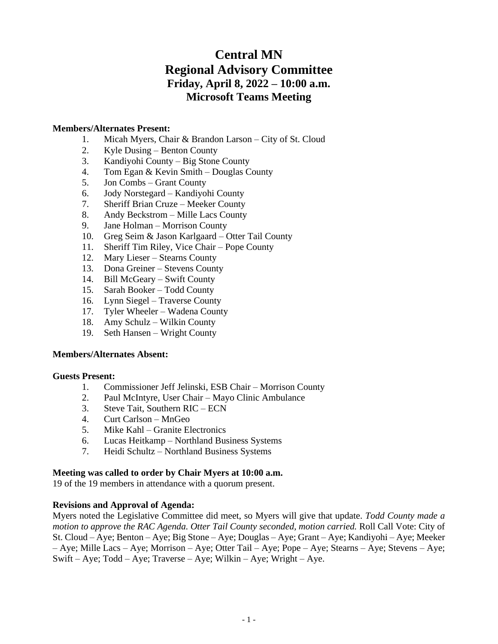# **Central MN Regional Advisory Committee Friday, April 8, 2022 – 10:00 a.m. Microsoft Teams Meeting**

# **Members/Alternates Present:**

- 1. Micah Myers, Chair & Brandon Larson City of St. Cloud
- 2. Kyle Dusing Benton County
- 3. Kandiyohi County Big Stone County
- 4. Tom Egan & Kevin Smith Douglas County
- 5. Jon Combs Grant County
- 6. Jody Norstegard Kandiyohi County
- 7. Sheriff Brian Cruze Meeker County
- 8. Andy Beckstrom Mille Lacs County
- 9. Jane Holman Morrison County
- 10. Greg Seim & Jason Karlgaard Otter Tail County
- 11. Sheriff Tim Riley, Vice Chair Pope County
- 12. Mary Lieser Stearns County
- 13. Dona Greiner Stevens County
- 14. Bill McGeary Swift County
- 15. Sarah Booker Todd County
- 16. Lynn Siegel Traverse County
- 17. Tyler Wheeler Wadena County
- 18. Amy Schulz Wilkin County
- 19. Seth Hansen Wright County

#### **Members/Alternates Absent:**

#### **Guests Present:**

- 1. Commissioner Jeff Jelinski, ESB Chair Morrison County
- 2. Paul McIntyre, User Chair Mayo Clinic Ambulance
- 3. Steve Tait, Southern RIC ECN
- 4. Curt Carlson MnGeo
- 5. Mike Kahl Granite Electronics
- 6. Lucas Heitkamp Northland Business Systems
- 7. Heidi Schultz Northland Business Systems

#### **Meeting was called to order by Chair Myers at 10:00 a.m.**

19 of the 19 members in attendance with a quorum present.

# **Revisions and Approval of Agenda:**

Myers noted the Legislative Committee did meet, so Myers will give that update. *Todd County made a motion to approve the RAC Agenda. Otter Tail County seconded, motion carried.* Roll Call Vote: City of St. Cloud – Aye; Benton – Aye; Big Stone – Aye; Douglas – Aye; Grant – Aye; Kandiyohi – Aye; Meeker – Aye; Mille Lacs – Aye; Morrison – Aye; Otter Tail – Aye; Pope – Aye; Stearns – Aye; Stevens – Aye; Swift – Aye; Todd – Aye; Traverse – Aye; Wilkin – Aye; Wright – Aye.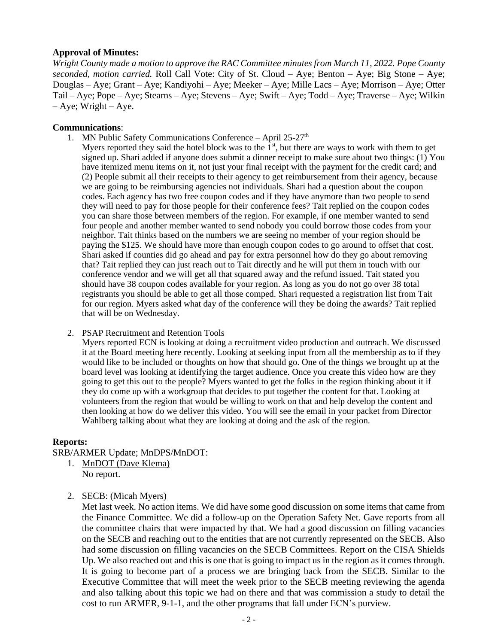## **Approval of Minutes:**

*Wright County made a motion to approve the RAC Committee minutes from March 11, 2022. Pope County seconded, motion carried.* Roll Call Vote: City of St. Cloud – Aye; Benton – Aye; Big Stone – Aye; Douglas – Aye; Grant – Aye; Kandiyohi – Aye; Meeker – Aye; Mille Lacs – Aye; Morrison – Aye; Otter Tail – Aye; Pope – Aye; Stearns – Aye; Stevens – Aye; Swift – Aye; Todd – Aye; Traverse – Aye; Wilkin  $-$  Aye; Wright – Aye.

## **Communications**:

1. MN Public Safety Communications Conference – April  $25-27<sup>th</sup>$ 

Myers reported they said the hotel block was to the  $1<sup>st</sup>$ , but there are ways to work with them to get signed up. Shari added if anyone does submit a dinner receipt to make sure about two things: (1) You have itemized menu items on it, not just your final receipt with the payment for the credit card; and (2) People submit all their receipts to their agency to get reimbursement from their agency, because we are going to be reimbursing agencies not individuals. Shari had a question about the coupon codes. Each agency has two free coupon codes and if they have anymore than two people to send they will need to pay for those people for their conference fees? Tait replied on the coupon codes you can share those between members of the region. For example, if one member wanted to send four people and another member wanted to send nobody you could borrow those codes from your neighbor. Tait thinks based on the numbers we are seeing no member of your region should be paying the \$125. We should have more than enough coupon codes to go around to offset that cost. Shari asked if counties did go ahead and pay for extra personnel how do they go about removing that? Tait replied they can just reach out to Tait directly and he will put them in touch with our conference vendor and we will get all that squared away and the refund issued. Tait stated you should have 38 coupon codes available for your region. As long as you do not go over 38 total registrants you should be able to get all those comped. Shari requested a registration list from Tait for our region. Myers asked what day of the conference will they be doing the awards? Tait replied that will be on Wednesday.

#### 2. PSAP Recruitment and Retention Tools

Myers reported ECN is looking at doing a recruitment video production and outreach. We discussed it at the Board meeting here recently. Looking at seeking input from all the membership as to if they would like to be included or thoughts on how that should go. One of the things we brought up at the board level was looking at identifying the target audience. Once you create this video how are they going to get this out to the people? Myers wanted to get the folks in the region thinking about it if they do come up with a workgroup that decides to put together the content for that. Looking at volunteers from the region that would be willing to work on that and help develop the content and then looking at how do we deliver this video. You will see the email in your packet from Director Wahlberg talking about what they are looking at doing and the ask of the region.

# **Reports:**

# SRB/ARMER Update; MnDPS/MnDOT:

- 1. MnDOT (Dave Klema) No report.
- 2. SECB: (Micah Myers)

Met last week. No action items. We did have some good discussion on some items that came from the Finance Committee. We did a follow-up on the Operation Safety Net. Gave reports from all the committee chairs that were impacted by that. We had a good discussion on filling vacancies on the SECB and reaching out to the entities that are not currently represented on the SECB. Also had some discussion on filling vacancies on the SECB Committees. Report on the CISA Shields Up. We also reached out and this is one that is going to impact us in the region as it comes through. It is going to become part of a process we are bringing back from the SECB. Similar to the Executive Committee that will meet the week prior to the SECB meeting reviewing the agenda and also talking about this topic we had on there and that was commission a study to detail the cost to run ARMER, 9-1-1, and the other programs that fall under ECN's purview.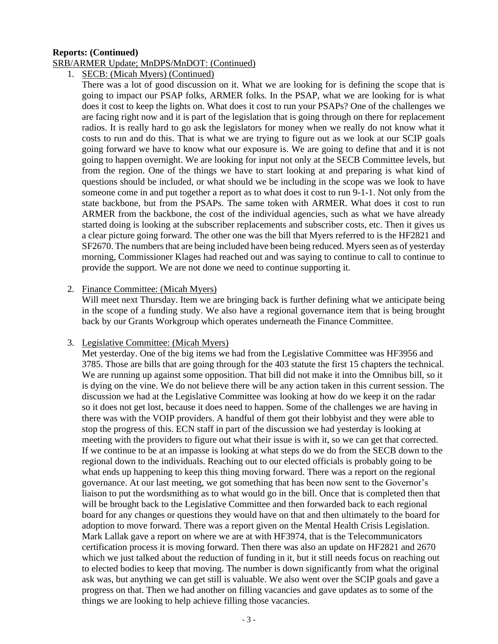## **Reports: (Continued)**

#### SRB/ARMER Update; MnDPS/MnDOT: (Continued)

1. SECB: (Micah Myers) (Continued)

There was a lot of good discussion on it. What we are looking for is defining the scope that is going to impact our PSAP folks, ARMER folks. In the PSAP, what we are looking for is what does it cost to keep the lights on. What does it cost to run your PSAPs? One of the challenges we are facing right now and it is part of the legislation that is going through on there for replacement radios. It is really hard to go ask the legislators for money when we really do not know what it costs to run and do this. That is what we are trying to figure out as we look at our SCIP goals going forward we have to know what our exposure is. We are going to define that and it is not going to happen overnight. We are looking for input not only at the SECB Committee levels, but from the region. One of the things we have to start looking at and preparing is what kind of questions should be included, or what should we be including in the scope was we look to have someone come in and put together a report as to what does it cost to run 9-1-1. Not only from the state backbone, but from the PSAPs. The same token with ARMER. What does it cost to run ARMER from the backbone, the cost of the individual agencies, such as what we have already started doing is looking at the subscriber replacements and subscriber costs, etc. Then it gives us a clear picture going forward. The other one was the bill that Myers referred to is the HF2821 and SF2670. The numbers that are being included have been being reduced. Myers seen as of yesterday morning, Commissioner Klages had reached out and was saying to continue to call to continue to provide the support. We are not done we need to continue supporting it.

## 2. Finance Committee: (Micah Myers)

Will meet next Thursday. Item we are bringing back is further defining what we anticipate being in the scope of a funding study. We also have a regional governance item that is being brought back by our Grants Workgroup which operates underneath the Finance Committee.

# 3. Legislative Committee: (Micah Myers)

Met yesterday. One of the big items we had from the Legislative Committee was HF3956 and 3785. Those are bills that are going through for the 403 statute the first 15 chapters the technical. We are running up against some opposition. That bill did not make it into the Omnibus bill, so it is dying on the vine. We do not believe there will be any action taken in this current session. The discussion we had at the Legislative Committee was looking at how do we keep it on the radar so it does not get lost, because it does need to happen. Some of the challenges we are having in there was with the VOIP providers. A handful of them got their lobbyist and they were able to stop the progress of this. ECN staff in part of the discussion we had yesterday is looking at meeting with the providers to figure out what their issue is with it, so we can get that corrected. If we continue to be at an impasse is looking at what steps do we do from the SECB down to the regional down to the individuals. Reaching out to our elected officials is probably going to be what ends up happening to keep this thing moving forward. There was a report on the regional governance. At our last meeting, we got something that has been now sent to the Governor's liaison to put the wordsmithing as to what would go in the bill. Once that is completed then that will be brought back to the Legislative Committee and then forwarded back to each regional board for any changes or questions they would have on that and then ultimately to the board for adoption to move forward. There was a report given on the Mental Health Crisis Legislation. Mark Lallak gave a report on where we are at with HF3974, that is the Telecommunicators certification process it is moving forward. Then there was also an update on HF2821 and 2670 which we just talked about the reduction of funding in it, but it still needs focus on reaching out to elected bodies to keep that moving. The number is down significantly from what the original ask was, but anything we can get still is valuable. We also went over the SCIP goals and gave a progress on that. Then we had another on filling vacancies and gave updates as to some of the things we are looking to help achieve filling those vacancies.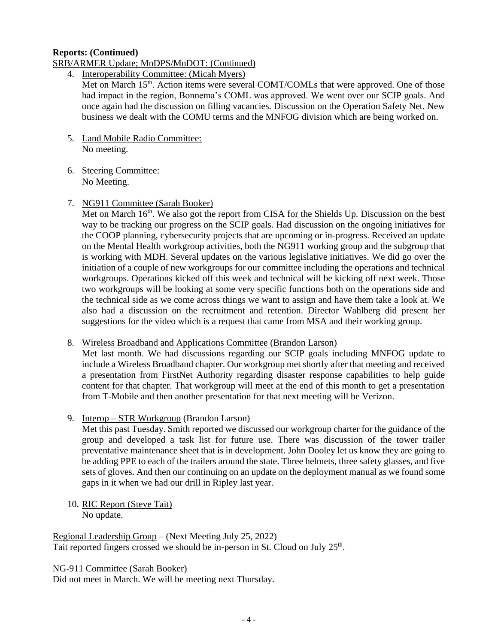# **Reports: (Continued)**

## SRB/ARMER Update; MnDPS/MnDOT: (Continued)

4. Interoperability Committee: (Micah Myers)

Met on March 15<sup>th</sup>. Action items were several COMT/COMLs that were approved. One of those had impact in the region, Bonnema's COML was approved. We went over our SCIP goals. And once again had the discussion on filling vacancies. Discussion on the Operation Safety Net. New business we dealt with the COMU terms and the MNFOG division which are being worked on.

- 5. Land Mobile Radio Committee: No meeting.
- 6. Steering Committee: No Meeting.
- 7. NG911 Committee (Sarah Booker)

Met on March 16<sup>th</sup>. We also got the report from CISA for the Shields Up. Discussion on the best way to be tracking our progress on the SCIP goals. Had discussion on the ongoing initiatives for the COOP planning, cybersecurity projects that are upcoming or in-progress. Received an update on the Mental Health workgroup activities, both the NG911 working group and the subgroup that is working with MDH. Several updates on the various legislative initiatives. We did go over the initiation of a couple of new workgroups for our committee including the operations and technical workgroups. Operations kicked off this week and technical will be kicking off next week. Those two workgroups will be looking at some very specific functions both on the operations side and the technical side as we come across things we want to assign and have them take a look at. We also had a discussion on the recruitment and retention. Director Wahlberg did present her suggestions for the video which is a request that came from MSA and their working group.

8. Wireless Broadband and Applications Committee (Brandon Larson)

Met last month. We had discussions regarding our SCIP goals including MNFOG update to include a Wireless Broadband chapter. Our workgroup met shortly after that meeting and received a presentation from FirstNet Authority regarding disaster response capabilities to help guide content for that chapter. That workgroup will meet at the end of this month to get a presentation from T-Mobile and then another presentation for that next meeting will be Verizon.

9. Interop – STR Workgroup (Brandon Larson)

Met this past Tuesday. Smith reported we discussed our workgroup charter for the guidance of the group and developed a task list for future use. There was discussion of the tower trailer preventative maintenance sheet that is in development. John Dooley let us know they are going to be adding PPE to each of the trailers around the state. Three helmets, three safety glasses, and five sets of gloves. And then our continuing on an update on the deployment manual as we found some gaps in it when we had our drill in Ripley last year.

10. RIC Report (Steve Tait) No update.

Regional Leadership Group – (Next Meeting July 25, 2022) Tait reported fingers crossed we should be in-person in St. Cloud on July 25<sup>th</sup>.

NG-911 Committee (Sarah Booker)

Did not meet in March. We will be meeting next Thursday.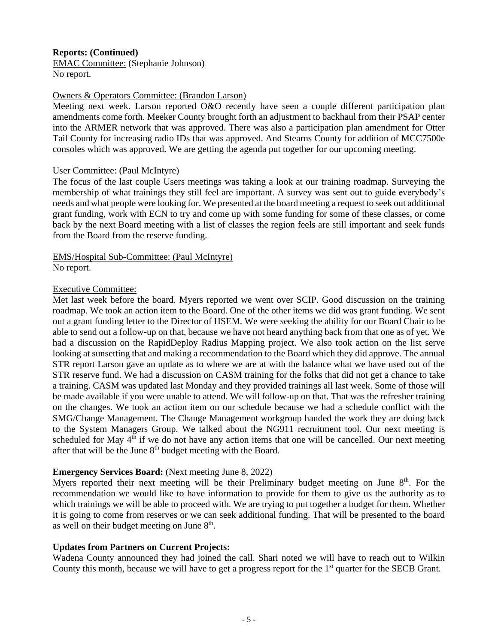# **Reports: (Continued)**

EMAC Committee: (Stephanie Johnson) No report.

## Owners & Operators Committee: (Brandon Larson)

Meeting next week. Larson reported O&O recently have seen a couple different participation plan amendments come forth. Meeker County brought forth an adjustment to backhaul from their PSAP center into the ARMER network that was approved. There was also a participation plan amendment for Otter Tail County for increasing radio IDs that was approved. And Stearns County for addition of MCC7500e consoles which was approved. We are getting the agenda put together for our upcoming meeting.

## User Committee: (Paul McIntyre)

The focus of the last couple Users meetings was taking a look at our training roadmap. Surveying the membership of what trainings they still feel are important. A survey was sent out to guide everybody's needs and what people were looking for. We presented at the board meeting a request to seek out additional grant funding, work with ECN to try and come up with some funding for some of these classes, or come back by the next Board meeting with a list of classes the region feels are still important and seek funds from the Board from the reserve funding.

#### EMS/Hospital Sub-Committee: (Paul McIntyre) No report.

## Executive Committee:

Met last week before the board. Myers reported we went over SCIP. Good discussion on the training roadmap. We took an action item to the Board. One of the other items we did was grant funding. We sent out a grant funding letter to the Director of HSEM. We were seeking the ability for our Board Chair to be able to send out a follow-up on that, because we have not heard anything back from that one as of yet. We had a discussion on the RapidDeploy Radius Mapping project. We also took action on the list serve looking at sunsetting that and making a recommendation to the Board which they did approve. The annual STR report Larson gave an update as to where we are at with the balance what we have used out of the STR reserve fund. We had a discussion on CASM training for the folks that did not get a chance to take a training. CASM was updated last Monday and they provided trainings all last week. Some of those will be made available if you were unable to attend. We will follow-up on that. That was the refresher training on the changes. We took an action item on our schedule because we had a schedule conflict with the SMG/Change Management. The Change Management workgroup handed the work they are doing back to the System Managers Group. We talked about the NG911 recruitment tool. Our next meeting is scheduled for May  $4<sup>th</sup>$  if we do not have any action items that one will be cancelled. Our next meeting after that will be the June  $8<sup>th</sup>$  budget meeting with the Board.

# **Emergency Services Board:** (Next meeting June 8, 2022)

Myers reported their next meeting will be their Preliminary budget meeting on June 8<sup>th</sup>. For the recommendation we would like to have information to provide for them to give us the authority as to which trainings we will be able to proceed with. We are trying to put together a budget for them. Whether it is going to come from reserves or we can seek additional funding. That will be presented to the board as well on their budget meeting on June 8<sup>th</sup>.

# **Updates from Partners on Current Projects:**

Wadena County announced they had joined the call. Shari noted we will have to reach out to Wilkin County this month, because we will have to get a progress report for the 1<sup>st</sup> quarter for the SECB Grant.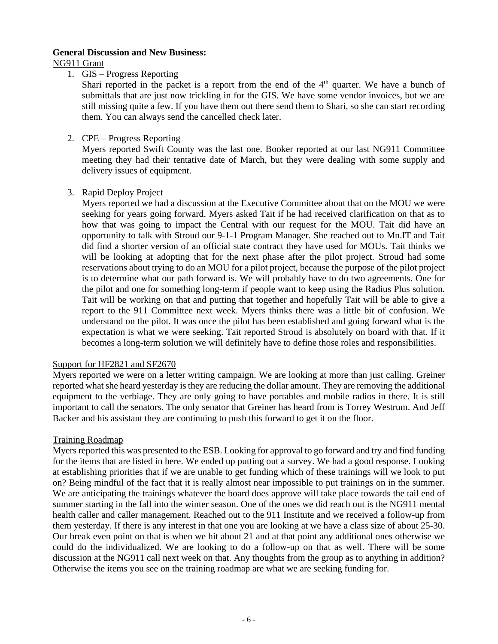#### **General Discussion and New Business:**

NG911 Grant

1. GIS – Progress Reporting

Shari reported in the packet is a report from the end of the  $4<sup>th</sup>$  quarter. We have a bunch of submittals that are just now trickling in for the GIS. We have some vendor invoices, but we are still missing quite a few. If you have them out there send them to Shari, so she can start recording them. You can always send the cancelled check later.

2. CPE – Progress Reporting

Myers reported Swift County was the last one. Booker reported at our last NG911 Committee meeting they had their tentative date of March, but they were dealing with some supply and delivery issues of equipment.

3. Rapid Deploy Project

Myers reported we had a discussion at the Executive Committee about that on the MOU we were seeking for years going forward. Myers asked Tait if he had received clarification on that as to how that was going to impact the Central with our request for the MOU. Tait did have an opportunity to talk with Stroud our 9-1-1 Program Manager. She reached out to Mn.IT and Tait did find a shorter version of an official state contract they have used for MOUs. Tait thinks we will be looking at adopting that for the next phase after the pilot project. Stroud had some reservations about trying to do an MOU for a pilot project, because the purpose of the pilot project is to determine what our path forward is. We will probably have to do two agreements. One for the pilot and one for something long-term if people want to keep using the Radius Plus solution. Tait will be working on that and putting that together and hopefully Tait will be able to give a report to the 911 Committee next week. Myers thinks there was a little bit of confusion. We understand on the pilot. It was once the pilot has been established and going forward what is the expectation is what we were seeking. Tait reported Stroud is absolutely on board with that. If it becomes a long-term solution we will definitely have to define those roles and responsibilities.

# Support for HF2821 and SF2670

Myers reported we were on a letter writing campaign. We are looking at more than just calling. Greiner reported what she heard yesterday is they are reducing the dollar amount. They are removing the additional equipment to the verbiage. They are only going to have portables and mobile radios in there. It is still important to call the senators. The only senator that Greiner has heard from is Torrey Westrum. And Jeff Backer and his assistant they are continuing to push this forward to get it on the floor.

# Training Roadmap

Myers reported this was presented to the ESB. Looking for approval to go forward and try and find funding for the items that are listed in here. We ended up putting out a survey. We had a good response. Looking at establishing priorities that if we are unable to get funding which of these trainings will we look to put on? Being mindful of the fact that it is really almost near impossible to put trainings on in the summer. We are anticipating the trainings whatever the board does approve will take place towards the tail end of summer starting in the fall into the winter season. One of the ones we did reach out is the NG911 mental health caller and caller management. Reached out to the 911 Institute and we received a follow-up from them yesterday. If there is any interest in that one you are looking at we have a class size of about 25-30. Our break even point on that is when we hit about 21 and at that point any additional ones otherwise we could do the individualized. We are looking to do a follow-up on that as well. There will be some discussion at the NG911 call next week on that. Any thoughts from the group as to anything in addition? Otherwise the items you see on the training roadmap are what we are seeking funding for.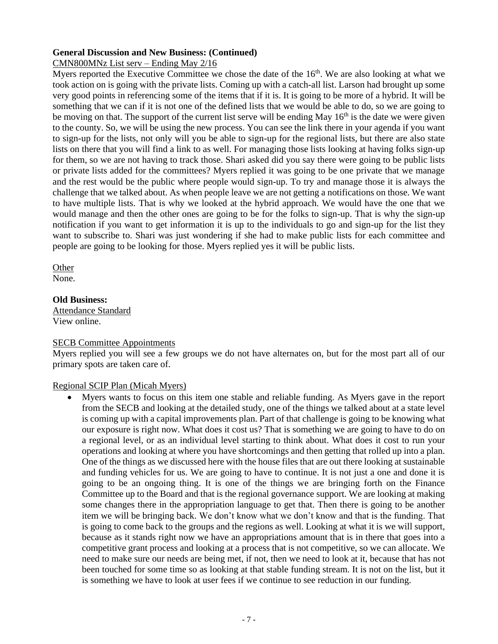# **General Discussion and New Business: (Continued)**

## CMN800MNz List serv – Ending May 2/16

Myers reported the Executive Committee we chose the date of the  $16<sup>th</sup>$ . We are also looking at what we took action on is going with the private lists. Coming up with a catch-all list. Larson had brought up some very good points in referencing some of the items that if it is. It is going to be more of a hybrid. It will be something that we can if it is not one of the defined lists that we would be able to do, so we are going to be moving on that. The support of the current list serve will be ending May  $16<sup>th</sup>$  is the date we were given to the county. So, we will be using the new process. You can see the link there in your agenda if you want to sign-up for the lists, not only will you be able to sign-up for the regional lists, but there are also state lists on there that you will find a link to as well. For managing those lists looking at having folks sign-up for them, so we are not having to track those. Shari asked did you say there were going to be public lists or private lists added for the committees? Myers replied it was going to be one private that we manage and the rest would be the public where people would sign-up. To try and manage those it is always the challenge that we talked about. As when people leave we are not getting a notifications on those. We want to have multiple lists. That is why we looked at the hybrid approach. We would have the one that we would manage and then the other ones are going to be for the folks to sign-up. That is why the sign-up notification if you want to get information it is up to the individuals to go and sign-up for the list they want to subscribe to. Shari was just wondering if she had to make public lists for each committee and people are going to be looking for those. Myers replied yes it will be public lists.

**Other** 

None.

## **Old Business:**

Attendance Standard View online.

#### SECB Committee Appointments

Myers replied you will see a few groups we do not have alternates on, but for the most part all of our primary spots are taken care of.

# Regional SCIP Plan (Micah Myers)

• Myers wants to focus on this item one stable and reliable funding. As Myers gave in the report from the SECB and looking at the detailed study, one of the things we talked about at a state level is coming up with a capital improvements plan. Part of that challenge is going to be knowing what our exposure is right now. What does it cost us? That is something we are going to have to do on a regional level, or as an individual level starting to think about. What does it cost to run your operations and looking at where you have shortcomings and then getting that rolled up into a plan. One of the things as we discussed here with the house files that are out there looking at sustainable and funding vehicles for us. We are going to have to continue. It is not just a one and done it is going to be an ongoing thing. It is one of the things we are bringing forth on the Finance Committee up to the Board and that is the regional governance support. We are looking at making some changes there in the appropriation language to get that. Then there is going to be another item we will be bringing back. We don't know what we don't know and that is the funding. That is going to come back to the groups and the regions as well. Looking at what it is we will support, because as it stands right now we have an appropriations amount that is in there that goes into a competitive grant process and looking at a process that is not competitive, so we can allocate. We need to make sure our needs are being met, if not, then we need to look at it, because that has not been touched for some time so as looking at that stable funding stream. It is not on the list, but it is something we have to look at user fees if we continue to see reduction in our funding.